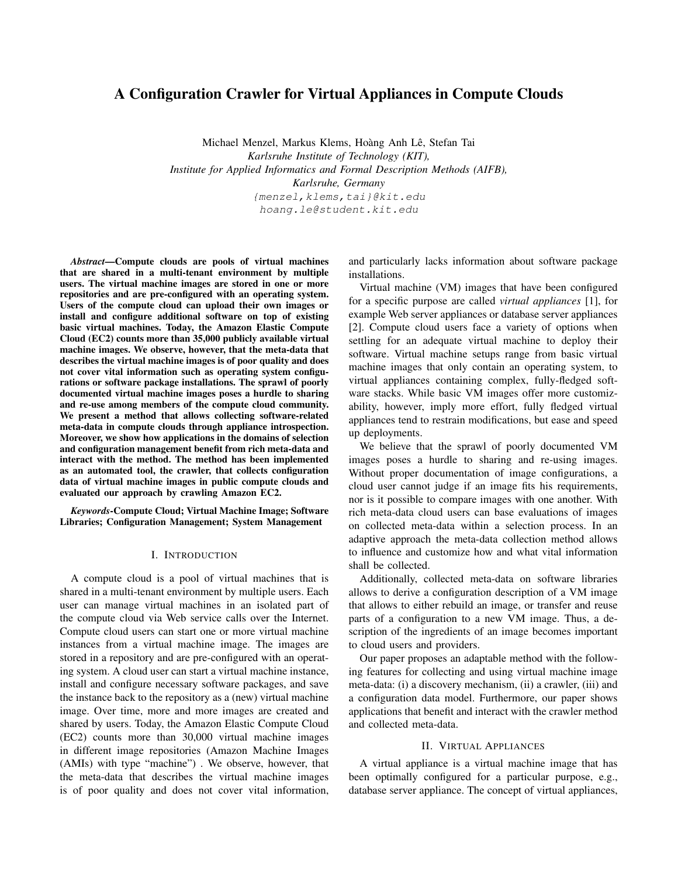# A Configuration Crawler for Virtual Appliances in Compute Clouds

Michael Menzel, Markus Klems, Hoàng Anh Lê, Stefan Tai *Karlsruhe Institute of Technology (KIT), Institute for Applied Informatics and Formal Description Methods (AIFB), Karlsruhe, Germany* {menzel,klems,tai}@kit.edu hoang.le@student.kit.edu

*Abstract*—Compute clouds are pools of virtual machines that are shared in a multi-tenant environment by multiple users. The virtual machine images are stored in one or more repositories and are pre-configured with an operating system. Users of the compute cloud can upload their own images or install and configure additional software on top of existing basic virtual machines. Today, the Amazon Elastic Compute Cloud (EC2) counts more than 35,000 publicly available virtual machine images. We observe, however, that the meta-data that describes the virtual machine images is of poor quality and does not cover vital information such as operating system configurations or software package installations. The sprawl of poorly documented virtual machine images poses a hurdle to sharing and re-use among members of the compute cloud community. We present a method that allows collecting software-related meta-data in compute clouds through appliance introspection. Moreover, we show how applications in the domains of selection and configuration management benefit from rich meta-data and interact with the method. The method has been implemented as an automated tool, the crawler, that collects configuration data of virtual machine images in public compute clouds and evaluated our approach by crawling Amazon EC2.

*Keywords*-Compute Cloud; Virtual Machine Image; Software Libraries; Configuration Management; System Management

# I. INTRODUCTION

A compute cloud is a pool of virtual machines that is shared in a multi-tenant environment by multiple users. Each user can manage virtual machines in an isolated part of the compute cloud via Web service calls over the Internet. Compute cloud users can start one or more virtual machine instances from a virtual machine image. The images are stored in a repository and are pre-configured with an operating system. A cloud user can start a virtual machine instance, install and configure necessary software packages, and save the instance back to the repository as a (new) virtual machine image. Over time, more and more images are created and shared by users. Today, the Amazon Elastic Compute Cloud (EC2) counts more than 30,000 virtual machine images in different image repositories (Amazon Machine Images (AMIs) with type "machine") . We observe, however, that the meta-data that describes the virtual machine images is of poor quality and does not cover vital information, and particularly lacks information about software package installations.

Virtual machine (VM) images that have been configured for a specific purpose are called *virtual appliances* [1], for example Web server appliances or database server appliances [2]. Compute cloud users face a variety of options when settling for an adequate virtual machine to deploy their software. Virtual machine setups range from basic virtual machine images that only contain an operating system, to virtual appliances containing complex, fully-fledged software stacks. While basic VM images offer more customizability, however, imply more effort, fully fledged virtual appliances tend to restrain modifications, but ease and speed up deployments.

We believe that the sprawl of poorly documented VM images poses a hurdle to sharing and re-using images. Without proper documentation of image configurations, a cloud user cannot judge if an image fits his requirements, nor is it possible to compare images with one another. With rich meta-data cloud users can base evaluations of images on collected meta-data within a selection process. In an adaptive approach the meta-data collection method allows to influence and customize how and what vital information shall be collected.

Additionally, collected meta-data on software libraries allows to derive a configuration description of a VM image that allows to either rebuild an image, or transfer and reuse parts of a configuration to a new VM image. Thus, a description of the ingredients of an image becomes important to cloud users and providers.

Our paper proposes an adaptable method with the following features for collecting and using virtual machine image meta-data: (i) a discovery mechanism, (ii) a crawler, (iii) and a configuration data model. Furthermore, our paper shows applications that benefit and interact with the crawler method and collected meta-data.

#### II. VIRTUAL APPLIANCES

A virtual appliance is a virtual machine image that has been optimally configured for a particular purpose, e.g., database server appliance. The concept of virtual appliances,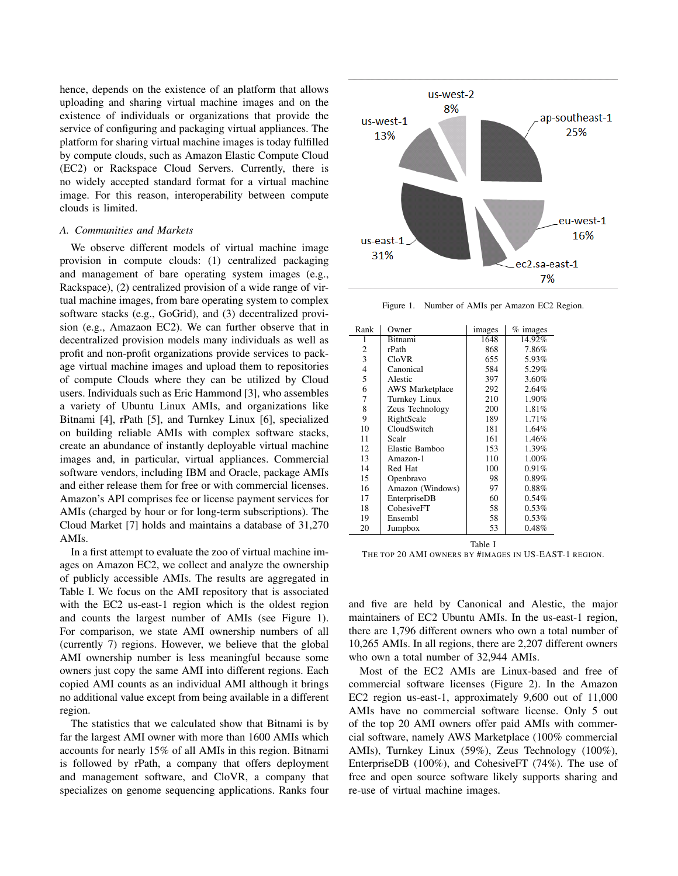hence, depends on the existence of an platform that allows uploading and sharing virtual machine images and on the existence of individuals or organizations that provide the service of configuring and packaging virtual appliances. The platform for sharing virtual machine images is today fulfilled by compute clouds, such as Amazon Elastic Compute Cloud (EC2) or Rackspace Cloud Servers. Currently, there is no widely accepted standard format for a virtual machine image. For this reason, interoperability between compute clouds is limited.

# *A. Communities and Markets*

We observe different models of virtual machine image provision in compute clouds: (1) centralized packaging and management of bare operating system images (e.g., Rackspace), (2) centralized provision of a wide range of virtual machine images, from bare operating system to complex software stacks (e.g., GoGrid), and (3) decentralized provision (e.g., Amazaon EC2). We can further observe that in decentralized provision models many individuals as well as profit and non-profit organizations provide services to package virtual machine images and upload them to repositories of compute Clouds where they can be utilized by Cloud users. Individuals such as Eric Hammond [3], who assembles a variety of Ubuntu Linux AMIs, and organizations like Bitnami [4], rPath [5], and Turnkey Linux [6], specialized on building reliable AMIs with complex software stacks, create an abundance of instantly deployable virtual machine images and, in particular, virtual appliances. Commercial software vendors, including IBM and Oracle, package AMIs and either release them for free or with commercial licenses. Amazon's API comprises fee or license payment services for AMIs (charged by hour or for long-term subscriptions). The Cloud Market [7] holds and maintains a database of 31,270 AMIs.

In a first attempt to evaluate the zoo of virtual machine images on Amazon EC2, we collect and analyze the ownership of publicly accessible AMIs. The results are aggregated in Table I. We focus on the AMI repository that is associated with the EC2 us-east-1 region which is the oldest region and counts the largest number of AMIs (see Figure 1). For comparison, we state AMI ownership numbers of all (currently 7) regions. However, we believe that the global AMI ownership number is less meaningful because some owners just copy the same AMI into different regions. Each copied AMI counts as an individual AMI although it brings no additional value except from being available in a different region.

The statistics that we calculated show that Bitnami is by far the largest AMI owner with more than 1600 AMIs which accounts for nearly 15% of all AMIs in this region. Bitnami is followed by rPath, a company that offers deployment and management software, and CloVR, a company that specializes on genome sequencing applications. Ranks four



Figure 1. Number of AMIs per Amazon EC2 Region.

| Rank                     | Owner                  | images | $%$ images |
|--------------------------|------------------------|--------|------------|
| 1                        | <b>Bitnami</b>         | 1648   | 14.92%     |
| 2                        | rPath                  | 868    | 7.86%      |
| 3                        | <b>CloVR</b>           | 655    | 5.93%      |
| $\overline{\mathcal{L}}$ | Canonical              | 584    | 5.29%      |
| 5                        | Alestic                | 397    | 3.60%      |
| 6                        | <b>AWS</b> Marketplace | 292    | 2.64%      |
| 7                        | Turnkey Linux          | 210    | 1.90%      |
| 8                        | Zeus Technology        | 200    | 1.81%      |
| 9                        | RightScale             | 189    | 1.71%      |
| 10                       | CloudSwitch            | 181    | 1.64%      |
| 11                       | Scalr                  | 161    | 1.46%      |
| 12                       | Elastic Bamboo         | 153    | 1.39%      |
| 13                       | Amazon-1               | 110    | 1.00%      |
| 14                       | Red Hat                | 100    | 0.91%      |
| 15                       | Openbravo              | 98     | 0.89%      |
| 16                       | Amazon (Windows)       | 97     | 0.88%      |
| 17                       | EnterpriseDB           | 60     | 0.54%      |
| 18                       | CohesiveFT             | 58     | 0.53%      |
| 19                       | Ensembl                | 58     | 0.53%      |
| 20                       | Jumpbox                | 53     | 0.48%      |

Table I THE TOP 20 AMI OWNERS BY #IMAGES IN US-EAST-1 REGION.

and five are held by Canonical and Alestic, the major maintainers of EC2 Ubuntu AMIs. In the us-east-1 region, there are 1,796 different owners who own a total number of 10,265 AMIs. In all regions, there are 2,207 different owners who own a total number of 32,944 AMIs.

Most of the EC2 AMIs are Linux-based and free of commercial software licenses (Figure 2). In the Amazon EC2 region us-east-1, approximately 9,600 out of 11,000 AMIs have no commercial software license. Only 5 out of the top 20 AMI owners offer paid AMIs with commercial software, namely AWS Marketplace (100% commercial AMIs), Turnkey Linux (59%), Zeus Technology (100%), EnterpriseDB (100%), and CohesiveFT (74%). The use of free and open source software likely supports sharing and re-use of virtual machine images.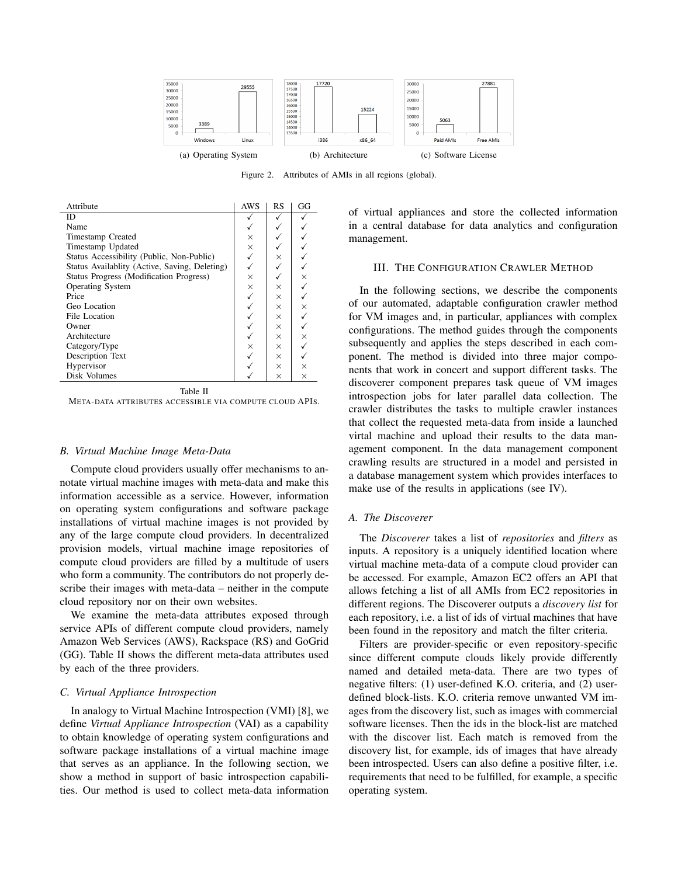

Figure 2. Attributes of AMIs in all regions (global).

| Attribute                                     | <b>AWS</b> | RS       | GG       |
|-----------------------------------------------|------------|----------|----------|
| ID                                            |            |          |          |
| Name                                          |            |          |          |
| <b>Timestamp Created</b>                      | ×          |          |          |
| Timestamp Updated                             | $\times$   |          |          |
| Status Accessibility (Public, Non-Public)     |            | $\times$ |          |
| Status Availablity (Active, Saving, Deleting) |            |          |          |
| Status Progress (Modification Progress)       | $\times$   |          | $\times$ |
| <b>Operating System</b>                       | $\times$   | X        |          |
| Price                                         |            | $\times$ |          |
| Geo Location                                  |            | $\times$ | $\times$ |
| File Location                                 |            | $\times$ |          |
| Owner                                         |            | $\times$ |          |
| Architecture                                  |            | X        | $\times$ |
| Category/Type                                 | ×          | X        |          |
| Description Text                              |            | $\times$ |          |
| Hypervisor                                    |            | X        | X        |
| Disk Volumes                                  |            | $\times$ | $\times$ |

Table II

META-DATA ATTRIBUTES ACCESSIBLE VIA COMPUTE CLOUD APIS.

#### *B. Virtual Machine Image Meta-Data*

Compute cloud providers usually offer mechanisms to annotate virtual machine images with meta-data and make this information accessible as a service. However, information on operating system configurations and software package installations of virtual machine images is not provided by any of the large compute cloud providers. In decentralized provision models, virtual machine image repositories of compute cloud providers are filled by a multitude of users who form a community. The contributors do not properly describe their images with meta-data – neither in the compute cloud repository nor on their own websites.

We examine the meta-data attributes exposed through service APIs of different compute cloud providers, namely Amazon Web Services (AWS), Rackspace (RS) and GoGrid (GG). Table II shows the different meta-data attributes used by each of the three providers.

# *C. Virtual Appliance Introspection*

In analogy to Virtual Machine Introspection (VMI) [8], we define *Virtual Appliance Introspection* (VAI) as a capability to obtain knowledge of operating system configurations and software package installations of a virtual machine image that serves as an appliance. In the following section, we show a method in support of basic introspection capabilities. Our method is used to collect meta-data information of virtual appliances and store the collected information in a central database for data analytics and configuration management.

#### III. THE CONFIGURATION CRAWLER METHOD

In the following sections, we describe the components of our automated, adaptable configuration crawler method for VM images and, in particular, appliances with complex configurations. The method guides through the components subsequently and applies the steps described in each component. The method is divided into three major components that work in concert and support different tasks. The discoverer component prepares task queue of VM images introspection jobs for later parallel data collection. The crawler distributes the tasks to multiple crawler instances that collect the requested meta-data from inside a launched virtal machine and upload their results to the data management component. In the data management component crawling results are structured in a model and persisted in a database management system which provides interfaces to make use of the results in applications (see IV).

# *A. The Discoverer*

The *Discoverer* takes a list of *repositories* and *filters* as inputs. A repository is a uniquely identified location where virtual machine meta-data of a compute cloud provider can be accessed. For example, Amazon EC2 offers an API that allows fetching a list of all AMIs from EC2 repositories in different regions. The Discoverer outputs a *discovery list* for each repository, i.e. a list of ids of virtual machines that have been found in the repository and match the filter criteria.

Filters are provider-specific or even repository-specific since different compute clouds likely provide differently named and detailed meta-data. There are two types of negative filters: (1) user-defined K.O. criteria, and (2) userdefined block-lists. K.O. criteria remove unwanted VM images from the discovery list, such as images with commercial software licenses. Then the ids in the block-list are matched with the discover list. Each match is removed from the discovery list, for example, ids of images that have already been introspected. Users can also define a positive filter, i.e. requirements that need to be fulfilled, for example, a specific operating system.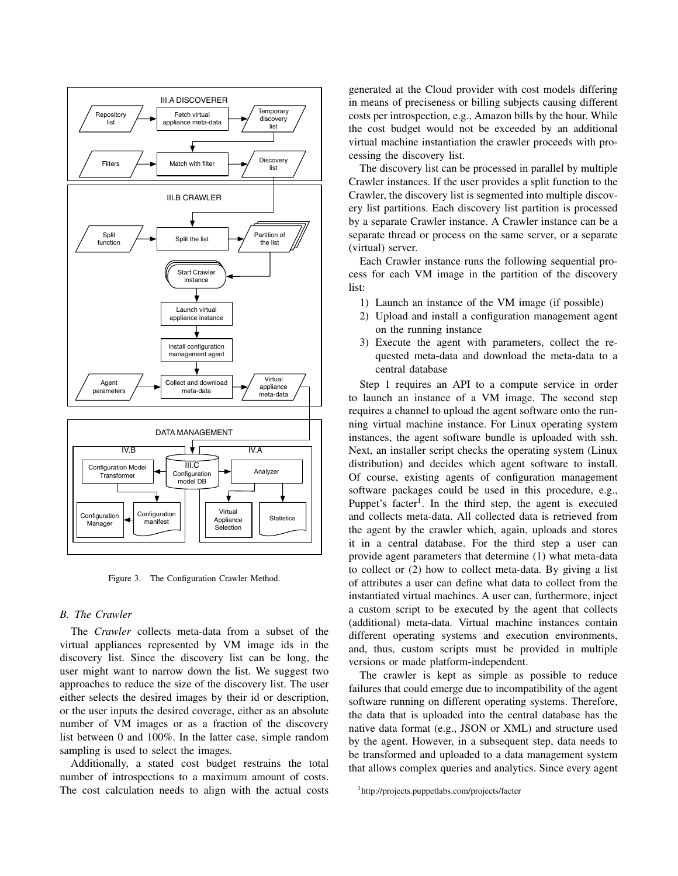

Figure 3. The Configuration Crawler Method.

# *B. The Crawler*

The *Crawler* collects meta-data from a subset of the virtual appliances represented by VM image ids in the discovery list. Since the discovery list can be long, the user might want to narrow down the list. We suggest two approaches to reduce the size of the discovery list. The user either selects the desired images by their id or description, or the user inputs the desired coverage, either as an absolute number of VM images or as a fraction of the discovery list between 0 and 100%. In the latter case, simple random sampling is used to select the images.

Additionally, a stated cost budget restrains the total number of introspections to a maximum amount of costs. The cost calculation needs to align with the actual costs generated at the Cloud provider with cost models differing in means of preciseness or billing subjects causing different costs per introspection, e.g., Amazon bills by the hour. While the cost budget would not be exceeded by an additional virtual machine instantiation the crawler proceeds with processing the discovery list.

The discovery list can be processed in parallel by multiple Crawler instances. If the user provides a split function to the Crawler, the discovery list is segmented into multiple discovery list partitions. Each discovery list partition is processed by a separate Crawler instance. A Crawler instance can be a separate thread or process on the same server, or a separate (virtual) server.

Each Crawler instance runs the following sequential process for each VM image in the partition of the discovery list:

- 1) Launch an instance of the VM image (if possible)
- 2) Upload and install a configuration management agent on the running instance
- 3) Execute the agent with parameters, collect the requested meta-data and download the meta-data to a central database

Step 1 requires an API to a compute service in order to launch an instance of a VM image. The second step requires a channel to upload the agent software onto the running virtual machine instance. For Linux operating system instances, the agent software bundle is uploaded with ssh. Next, an installer script checks the operating system (Linux distribution) and decides which agent software to install. Of course, existing agents of configuration management software packages could be used in this procedure, e.g., Puppet's facter<sup>1</sup>. In the third step, the agent is executed and collects meta-data. All collected data is retrieved from the agent by the crawler which, again, uploads and stores it in a central database. For the third step a user can provide agent parameters that determine (1) what meta-data to collect or (2) how to collect meta-data. By giving a list of attributes a user can define what data to collect from the instantiated virtual machines. A user can, furthermore, inject a custom script to be executed by the agent that collects (additional) meta-data. Virtual machine instances contain different operating systems and execution environments, and, thus, custom scripts must be provided in multiple versions or made platform-independent.

The crawler is kept as simple as possible to reduce failures that could emerge due to incompatibility of the agent software running on different operating systems. Therefore, the data that is uploaded into the central database has the native data format (e.g., JSON or XML) and structure used by the agent. However, in a subsequent step, data needs to be transformed and uploaded to a data management system that allows complex queries and analytics. Since every agent

<sup>1</sup>http://projects.puppetlabs.com/projects/facter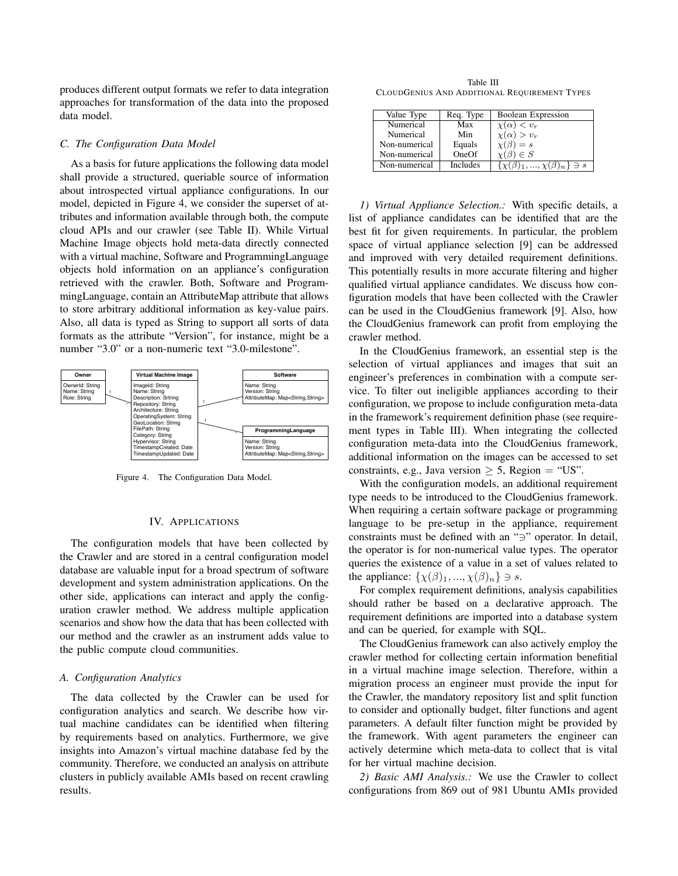produces different output formats we refer to data integration approaches for transformation of the data into the proposed data model.

#### *C. The Configuration Data Model*

As a basis for future applications the following data model shall provide a structured, queriable source of information about introspected virtual appliance configurations. In our model, depicted in Figure 4, we consider the superset of attributes and information available through both, the compute cloud APIs and our crawler (see Table II). While Virtual Machine Image objects hold meta-data directly connected with a virtual machine, Software and ProgrammingLanguage objects hold information on an appliance's configuration retrieved with the crawler. Both, Software and ProgrammingLanguage, contain an AttributeMap attribute that allows to store arbitrary additional information as key-value pairs. Also, all data is typed as String to support all sorts of data formats as the attribute "Version", for instance, might be a number "3.0" or a non-numeric text "3.0-milestone".



Figure 4. The Configuration Data Model.

#### IV. APPLICATIONS

The configuration models that have been collected by the Crawler and are stored in a central configuration model database are valuable input for a broad spectrum of software development and system administration applications. On the other side, applications can interact and apply the configuration crawler method. We address multiple application scenarios and show how the data that has been collected with our method and the crawler as an instrument adds value to the public compute cloud communities.

# *A. Configuration Analytics*

The data collected by the Crawler can be used for configuration analytics and search. We describe how virtual machine candidates can be identified when filtering by requirements based on analytics. Furthermore, we give insights into Amazon's virtual machine database fed by the community. Therefore, we conducted an analysis on attribute clusters in publicly available AMIs based on recent crawling results.

Table III CLOUDGENIUS AND ADDITIONAL REQUIREMENT TYPES

| Value Type    | Req. Type | Boolean Expression                    |
|---------------|-----------|---------------------------------------|
| Numerical     | Max       | $1 < v_r$<br>$\chi(\alpha)$           |
| Numerical     | Min       | $\chi(\alpha) > v_r$                  |
| Non-numerical | Equals    | $=$ s                                 |
| Non-numerical | OneOf     | $\in S$                               |
| Non-numerical | Includes  | $(\beta)_1, , \chi(\beta)_n \} \ni s$ |

*1) Virtual Appliance Selection.:* With specific details, a list of appliance candidates can be identified that are the best fit for given requirements. In particular, the problem space of virtual appliance selection [9] can be addressed and improved with very detailed requirement definitions. This potentially results in more accurate filtering and higher qualified virtual appliance candidates. We discuss how configuration models that have been collected with the Crawler can be used in the CloudGenius framework [9]. Also, how the CloudGenius framework can profit from employing the crawler method.

In the CloudGenius framework, an essential step is the selection of virtual appliances and images that suit an engineer's preferences in combination with a compute service. To filter out ineligible appliances according to their configuration, we propose to include configuration meta-data in the framework's requirement definition phase (see requirement types in Table III). When integrating the collected configuration meta-data into the CloudGenius framework, additional information on the images can be accessed to set constraints, e.g., Java version  $> 5$ , Region = "US".

With the configuration models, an additional requirement type needs to be introduced to the CloudGenius framework. When requiring a certain software package or programming language to be pre-setup in the appliance, requirement constraints must be defined with an " $\exists$ " operator. In detail, the operator is for non-numerical value types. The operator queries the existence of a value in a set of values related to the appliance:  $\{\chi(\beta)_1, ..., \chi(\beta)_n\} \ni s$ .

For complex requirement definitions, analysis capabilities should rather be based on a declarative approach. The requirement definitions are imported into a database system and can be queried, for example with SQL.

The CloudGenius framework can also actively employ the crawler method for collecting certain information benefitial in a virtual machine image selection. Therefore, within a migration process an engineer must provide the input for the Crawler, the mandatory repository list and split function to consider and optionally budget, filter functions and agent parameters. A default filter function might be provided by the framework. With agent parameters the engineer can actively determine which meta-data to collect that is vital for her virtual machine decision.

*2) Basic AMI Analysis.:* We use the Crawler to collect configurations from 869 out of 981 Ubuntu AMIs provided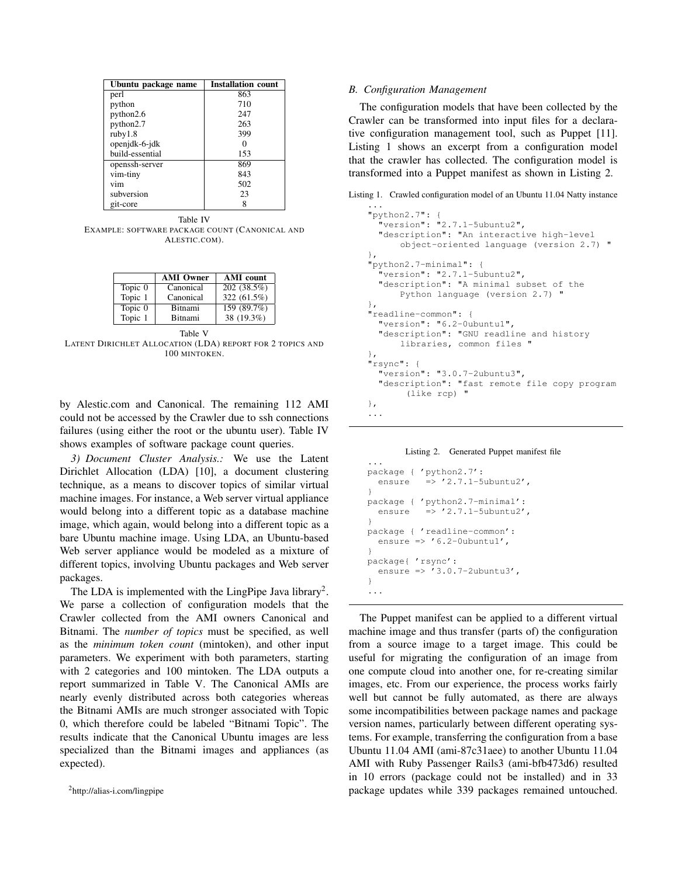| Ubuntu package name | <b>Installation count</b> |  |
|---------------------|---------------------------|--|
| perl                | 863                       |  |
| python              | 710                       |  |
| python2.6           | 247                       |  |
| python2.7           | 263                       |  |
| ruby1.8             | 399                       |  |
| openjdk-6-jdk       |                           |  |
| build-essential     | 153                       |  |
| openssh-server      | 869                       |  |
| vim-tiny            | 843                       |  |
| vim                 | 502                       |  |
| subversion          | 23                        |  |
| git-core            |                           |  |

Table IV EXAMPLE: SOFTWARE PACKAGE COUNT (CANONICAL AND ALESTIC.COM).

|         | <b>AMI</b> Owner | <b>AMI</b> count |
|---------|------------------|------------------|
| Topic 0 | Canonical        | 202 (38.5%)      |
| Topic 1 | Canonical        | 322 (61.5%)      |
| Topic 0 | <b>Bitnami</b>   | 159 (89.7%)      |
| Topic 1 | <b>Bitnami</b>   | 38 (19.3%)       |

Table V LATENT DIRICHLET ALLOCATION (LDA) REPORT FOR 2 TOPICS AND 100 MINTOKEN.

by Alestic.com and Canonical. The remaining 112 AMI could not be accessed by the Crawler due to ssh connections failures (using either the root or the ubuntu user). Table IV shows examples of software package count queries.

*3) Document Cluster Analysis.:* We use the Latent Dirichlet Allocation (LDA) [10], a document clustering technique, as a means to discover topics of similar virtual machine images. For instance, a Web server virtual appliance would belong into a different topic as a database machine image, which again, would belong into a different topic as a bare Ubuntu machine image. Using LDA, an Ubuntu-based Web server appliance would be modeled as a mixture of different topics, involving Ubuntu packages and Web server packages.

The LDA is implemented with the LingPipe Java library<sup>2</sup>. We parse a collection of configuration models that the Crawler collected from the AMI owners Canonical and Bitnami. The *number of topics* must be specified, as well as the *minimum token count* (mintoken), and other input parameters. We experiment with both parameters, starting with 2 categories and 100 mintoken. The LDA outputs a report summarized in Table V. The Canonical AMIs are nearly evenly distributed across both categories whereas the Bitnami AMIs are much stronger associated with Topic 0, which therefore could be labeled "Bitnami Topic". The results indicate that the Canonical Ubuntu images are less specialized than the Bitnami images and appliances (as expected).

#### *B. Configuration Management*

The configuration models that have been collected by the Crawler can be transformed into input files for a declarative configuration management tool, such as Puppet [11]. Listing 1 shows an excerpt from a configuration model that the crawler has collected. The configuration model is transformed into a Puppet manifest as shown in Listing 2.

Listing 1. Crawled configuration model of an Ubuntu 11.04 Natty instance

```
...
"python2.7": {
 "version": "2.7.1-5ubuntu2",
 "description": "An interactive high-level
      object-oriented language (version 2.7) "
},
"python2.7-minimal": {
  "version": "2.7.1-5ubuntu2",
  "description": "A minimal subset of the
      Python language (version 2.7) "
},
"readline-common": {
 "version": "6.2-0ubuntu1",
  "description": "GNU readline and history
      libraries, common files "
},
"rsync": {
  "version": "3.0.7-2ubuntu3",
 "description": "fast remote file copy program
       (like rcp) "
},
...
```
#### Listing 2. Generated Puppet manifest file

```
...
package { 'python2.7':
  ensure => '2.7.1-5ubuntu2',
}
package { 'python2.7-minimal':
  ensure \Rightarrow '2.7.1-5ubuntu2',
}
package { 'readline-common':
  ensure \Rightarrow '6.2-0ubuntul',
}
package{ 'rsync':
  ensure => '3.0.7-2ubuntu3',
}
...
```
The Puppet manifest can be applied to a different virtual machine image and thus transfer (parts of) the configuration from a source image to a target image. This could be useful for migrating the configuration of an image from one compute cloud into another one, for re-creating similar images, etc. From our experience, the process works fairly well but cannot be fully automated, as there are always some incompatibilities between package names and package version names, particularly between different operating systems. For example, transferring the configuration from a base Ubuntu 11.04 AMI (ami-87c31aee) to another Ubuntu 11.04 AMI with Ruby Passenger Rails3 (ami-bfb473d6) resulted in 10 errors (package could not be installed) and in 33 package updates while 339 packages remained untouched.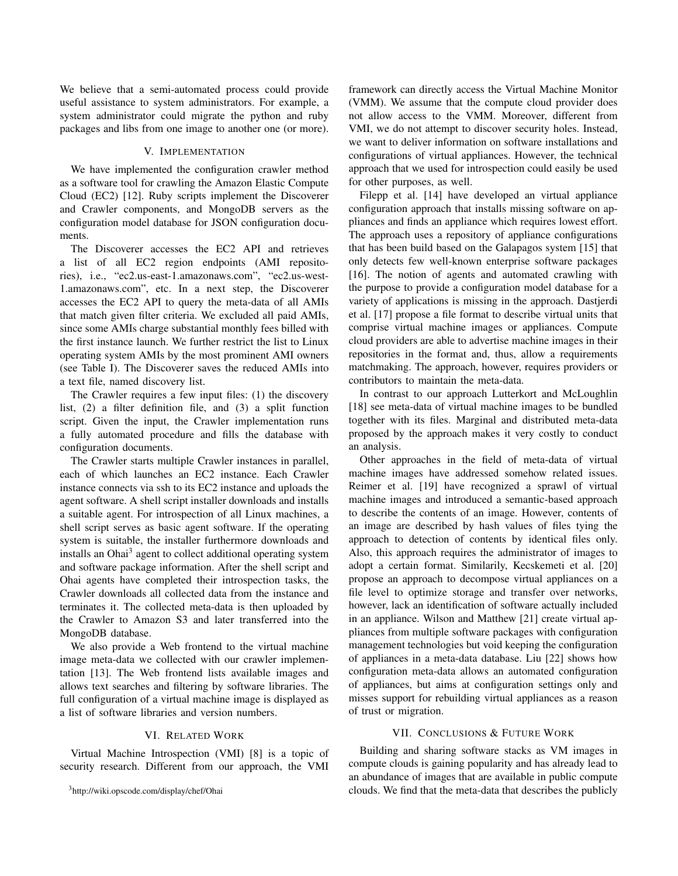We believe that a semi-automated process could provide useful assistance to system administrators. For example, a system administrator could migrate the python and ruby packages and libs from one image to another one (or more).

# V. IMPLEMENTATION

We have implemented the configuration crawler method as a software tool for crawling the Amazon Elastic Compute Cloud (EC2) [12]. Ruby scripts implement the Discoverer and Crawler components, and MongoDB servers as the configuration model database for JSON configuration documents.

The Discoverer accesses the EC2 API and retrieves a list of all EC2 region endpoints (AMI repositories), i.e., "ec2.us-east-1.amazonaws.com", "ec2.us-west-1.amazonaws.com", etc. In a next step, the Discoverer accesses the EC2 API to query the meta-data of all AMIs that match given filter criteria. We excluded all paid AMIs, since some AMIs charge substantial monthly fees billed with the first instance launch. We further restrict the list to Linux operating system AMIs by the most prominent AMI owners (see Table I). The Discoverer saves the reduced AMIs into a text file, named discovery list.

The Crawler requires a few input files: (1) the discovery list, (2) a filter definition file, and (3) a split function script. Given the input, the Crawler implementation runs a fully automated procedure and fills the database with configuration documents.

The Crawler starts multiple Crawler instances in parallel, each of which launches an EC2 instance. Each Crawler instance connects via ssh to its EC2 instance and uploads the agent software. A shell script installer downloads and installs a suitable agent. For introspection of all Linux machines, a shell script serves as basic agent software. If the operating system is suitable, the installer furthermore downloads and installs an Ohai<sup>3</sup> agent to collect additional operating system and software package information. After the shell script and Ohai agents have completed their introspection tasks, the Crawler downloads all collected data from the instance and terminates it. The collected meta-data is then uploaded by the Crawler to Amazon S3 and later transferred into the MongoDB database.

We also provide a Web frontend to the virtual machine image meta-data we collected with our crawler implementation [13]. The Web frontend lists available images and allows text searches and filtering by software libraries. The full configuration of a virtual machine image is displayed as a list of software libraries and version numbers.

# VI. RELATED WORK

Virtual Machine Introspection (VMI) [8] is a topic of security research. Different from our approach, the VMI framework can directly access the Virtual Machine Monitor (VMM). We assume that the compute cloud provider does not allow access to the VMM. Moreover, different from VMI, we do not attempt to discover security holes. Instead, we want to deliver information on software installations and configurations of virtual appliances. However, the technical approach that we used for introspection could easily be used for other purposes, as well.

Filepp et al. [14] have developed an virtual appliance configuration approach that installs missing software on appliances and finds an appliance which requires lowest effort. The approach uses a repository of appliance configurations that has been build based on the Galapagos system [15] that only detects few well-known enterprise software packages [16]. The notion of agents and automated crawling with the purpose to provide a configuration model database for a variety of applications is missing in the approach. Dastjerdi et al. [17] propose a file format to describe virtual units that comprise virtual machine images or appliances. Compute cloud providers are able to advertise machine images in their repositories in the format and, thus, allow a requirements matchmaking. The approach, however, requires providers or contributors to maintain the meta-data.

In contrast to our approach Lutterkort and McLoughlin [18] see meta-data of virtual machine images to be bundled together with its files. Marginal and distributed meta-data proposed by the approach makes it very costly to conduct an analysis.

Other approaches in the field of meta-data of virtual machine images have addressed somehow related issues. Reimer et al. [19] have recognized a sprawl of virtual machine images and introduced a semantic-based approach to describe the contents of an image. However, contents of an image are described by hash values of files tying the approach to detection of contents by identical files only. Also, this approach requires the administrator of images to adopt a certain format. Similarily, Kecskemeti et al. [20] propose an approach to decompose virtual appliances on a file level to optimize storage and transfer over networks, however, lack an identification of software actually included in an appliance. Wilson and Matthew [21] create virtual appliances from multiple software packages with configuration management technologies but void keeping the configuration of appliances in a meta-data database. Liu [22] shows how configuration meta-data allows an automated configuration of appliances, but aims at configuration settings only and misses support for rebuilding virtual appliances as a reason of trust or migration.

#### VII. CONCLUSIONS & FUTURE WORK

Building and sharing software stacks as VM images in compute clouds is gaining popularity and has already lead to an abundance of images that are available in public compute clouds. We find that the meta-data that describes the publicly

<sup>3</sup>http://wiki.opscode.com/display/chef/Ohai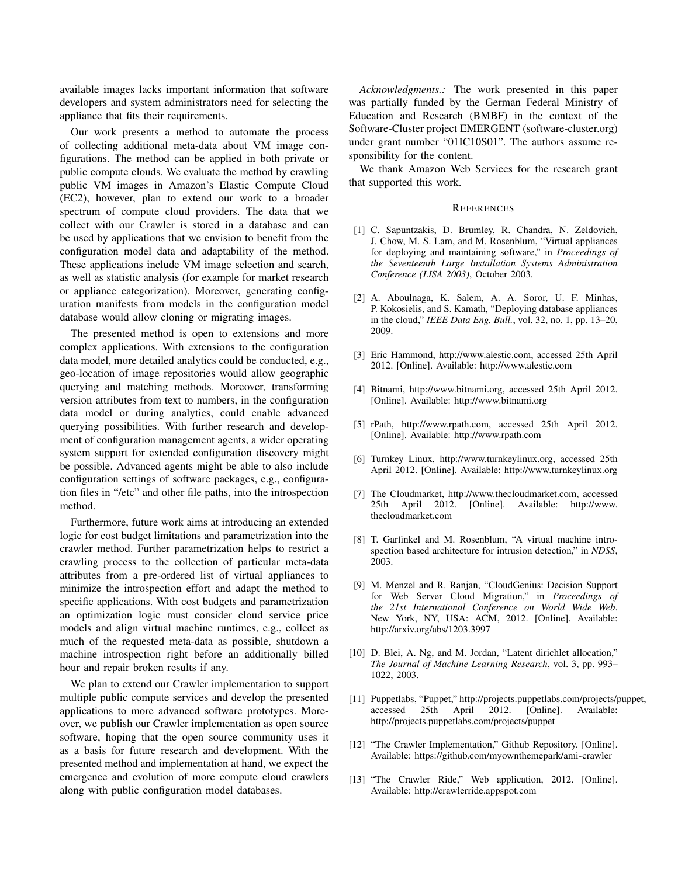available images lacks important information that software developers and system administrators need for selecting the appliance that fits their requirements.

Our work presents a method to automate the process of collecting additional meta-data about VM image configurations. The method can be applied in both private or public compute clouds. We evaluate the method by crawling public VM images in Amazon's Elastic Compute Cloud (EC2), however, plan to extend our work to a broader spectrum of compute cloud providers. The data that we collect with our Crawler is stored in a database and can be used by applications that we envision to benefit from the configuration model data and adaptability of the method. These applications include VM image selection and search, as well as statistic analysis (for example for market research or appliance categorization). Moreover, generating configuration manifests from models in the configuration model database would allow cloning or migrating images.

The presented method is open to extensions and more complex applications. With extensions to the configuration data model, more detailed analytics could be conducted, e.g., geo-location of image repositories would allow geographic querying and matching methods. Moreover, transforming version attributes from text to numbers, in the configuration data model or during analytics, could enable advanced querying possibilities. With further research and development of configuration management agents, a wider operating system support for extended configuration discovery might be possible. Advanced agents might be able to also include configuration settings of software packages, e.g., configuration files in "/etc" and other file paths, into the introspection method.

Furthermore, future work aims at introducing an extended logic for cost budget limitations and parametrization into the crawler method. Further parametrization helps to restrict a crawling process to the collection of particular meta-data attributes from a pre-ordered list of virtual appliances to minimize the introspection effort and adapt the method to specific applications. With cost budgets and parametrization an optimization logic must consider cloud service price models and align virtual machine runtimes, e.g., collect as much of the requested meta-data as possible, shutdown a machine introspection right before an additionally billed hour and repair broken results if any.

We plan to extend our Crawler implementation to support multiple public compute services and develop the presented applications to more advanced software prototypes. Moreover, we publish our Crawler implementation as open source software, hoping that the open source community uses it as a basis for future research and development. With the presented method and implementation at hand, we expect the emergence and evolution of more compute cloud crawlers along with public configuration model databases.

*Acknowledgments.:* The work presented in this paper was partially funded by the German Federal Ministry of Education and Research (BMBF) in the context of the Software-Cluster project EMERGENT (software-cluster.org) under grant number "01IC10S01". The authors assume responsibility for the content.

We thank Amazon Web Services for the research grant that supported this work.

#### **REFERENCES**

- [1] C. Sapuntzakis, D. Brumley, R. Chandra, N. Zeldovich, J. Chow, M. S. Lam, and M. Rosenblum, "Virtual appliances for deploying and maintaining software," in *Proceedings of the Seventeenth Large Installation Systems Administration Conference (LISA 2003)*, October 2003.
- [2] A. Aboulnaga, K. Salem, A. A. Soror, U. F. Minhas, P. Kokosielis, and S. Kamath, "Deploying database appliances in the cloud," *IEEE Data Eng. Bull.*, vol. 32, no. 1, pp. 13–20, 2009.
- [3] Eric Hammond, http://www.alestic.com, accessed 25th April 2012. [Online]. Available: http://www.alestic.com
- [4] Bitnami, http://www.bitnami.org, accessed 25th April 2012. [Online]. Available: http://www.bitnami.org
- [5] rPath, http://www.rpath.com, accessed 25th April 2012. [Online]. Available: http://www.rpath.com
- [6] Turnkey Linux, http://www.turnkeylinux.org, accessed 25th April 2012. [Online]. Available: http://www.turnkeylinux.org
- [7] The Cloudmarket, http://www.thecloudmarket.com, accessed 25th April 2012. [Online]. Available: http://www. thecloudmarket.com
- [8] T. Garfinkel and M. Rosenblum, "A virtual machine introspection based architecture for intrusion detection," in *NDSS*, 2003.
- [9] M. Menzel and R. Ranjan, "CloudGenius: Decision Support for Web Server Cloud Migration," in *Proceedings of the 21st International Conference on World Wide Web*. New York, NY, USA: ACM, 2012. [Online]. Available: http://arxiv.org/abs/1203.3997
- [10] D. Blei, A. Ng, and M. Jordan, "Latent dirichlet allocation," *The Journal of Machine Learning Research*, vol. 3, pp. 993– 1022, 2003.
- [11] Puppetlabs, "Puppet," http://projects.puppetlabs.com/projects/puppet, accessed 25th April 2012. [Online]. http://projects.puppetlabs.com/projects/puppet
- [12] "The Crawler Implementation," Github Repository. [Online]. Available: https://github.com/myownthemepark/ami-crawler
- [13] "The Crawler Ride," Web application, 2012. [Online]. Available: http://crawlerride.appspot.com